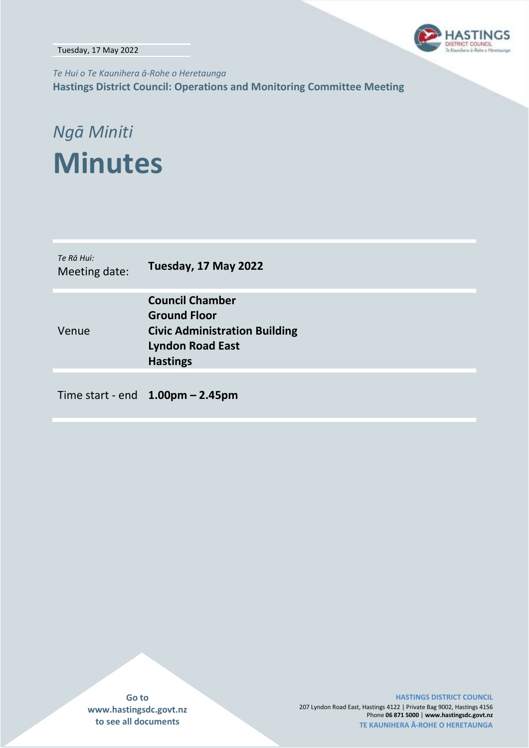Tuesday, 17 May 2022



*Te Hui o Te Kaunihera ā-Rohe o Heretaunga* **Hastings District Council: Operations and Monitoring Committee Meeting**

# *Ngā Miniti* **Minutes**

| Te Rā Hui:<br>Meeting date: | Tuesday, 17 May 2022                                                                                                                |
|-----------------------------|-------------------------------------------------------------------------------------------------------------------------------------|
| Venue                       | <b>Council Chamber</b><br><b>Ground Floor</b><br><b>Civic Administration Building</b><br><b>Lyndon Road East</b><br><b>Hastings</b> |

Time start - end **1.00pm – 2.45pm**

**Go to www.hastingsdc.govt.nz to see all documents**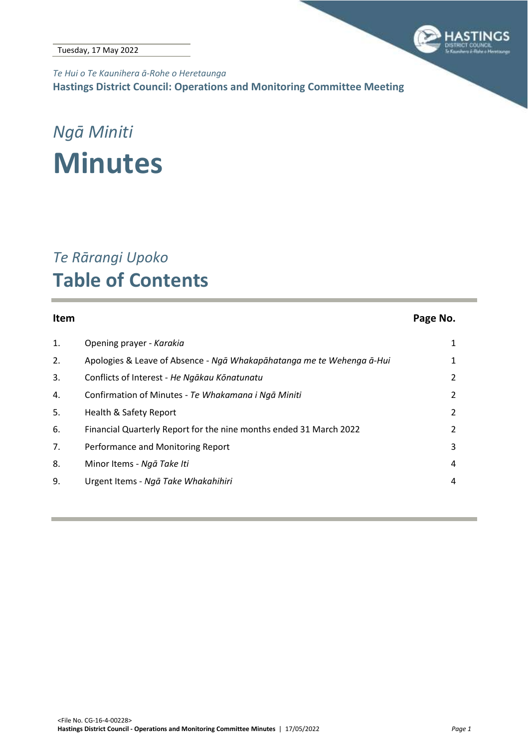

*Te Hui o Te Kaunihera ā-Rohe o Heretaunga* **Hastings District Council: Operations and Monitoring Committee Meeting**

### *Ngā Miniti* **Minutes**

### *Te Rārangi Upoko* **Table of Contents**

### **Item Page No.** 1. [Opening prayer -](#page-2-0) *Karakia* 1 2. Apologies & Leave of Absence - *[Ngā Whakapāhatanga me te Wehenga ā](#page-2-1)-Hui* 1 3. Conflicts of Interest - *[He Ngākau Kōnatunatu](#page-3-0)* 2 4. Confirmation of Minutes - *[Te Whakamana i Ngā Miniti](#page-3-1)* 2 5. [Health & Safety Report](#page-3-2) 2 6. [Financial Quarterly Report for the nine months ended 31 March 2022](#page-3-2) 2 7. [Performance and Monitoring Report](#page-4-0) 3 8. [Minor Items -](#page-5-0) *Ngā Take Iti* 4 9. Urgent Items - *[Ngā Take Whakahihiri](#page-5-1)* 4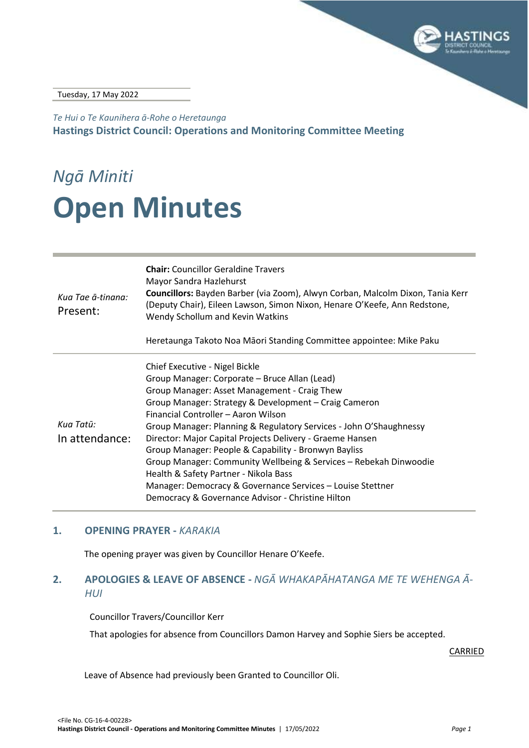

Tuesday, 17 May 2022

*Te Hui o Te Kaunihera ā-Rohe o Heretaunga* **Hastings District Council: Operations and Monitoring Committee Meeting**

# *Ngā Miniti* **Open Minutes**

| Kua Tae ā-tinana:<br>Present: | <b>Chair:</b> Councillor Geraldine Travers<br>Mayor Sandra Hazlehurst<br>Councillors: Bayden Barber (via Zoom), Alwyn Corban, Malcolm Dixon, Tania Kerr<br>(Deputy Chair), Eileen Lawson, Simon Nixon, Henare O'Keefe, Ann Redstone,<br>Wendy Schollum and Kevin Watkins<br>Heretaunga Takoto Noa Māori Standing Committee appointee: Mike Paku                                                                                                                                                                                                                                                                                                             |
|-------------------------------|-------------------------------------------------------------------------------------------------------------------------------------------------------------------------------------------------------------------------------------------------------------------------------------------------------------------------------------------------------------------------------------------------------------------------------------------------------------------------------------------------------------------------------------------------------------------------------------------------------------------------------------------------------------|
| Kua Tatū:<br>In attendance:   | Chief Executive - Nigel Bickle<br>Group Manager: Corporate – Bruce Allan (Lead)<br>Group Manager: Asset Management - Craig Thew<br>Group Manager: Strategy & Development - Craig Cameron<br>Financial Controller - Aaron Wilson<br>Group Manager: Planning & Regulatory Services - John O'Shaughnessy<br>Director: Major Capital Projects Delivery - Graeme Hansen<br>Group Manager: People & Capability - Bronwyn Bayliss<br>Group Manager: Community Wellbeing & Services - Rebekah Dinwoodie<br>Health & Safety Partner - Nikola Bass<br>Manager: Democracy & Governance Services - Louise Stettner<br>Democracy & Governance Advisor - Christine Hilton |

#### <span id="page-2-0"></span>**1. OPENING PRAYER -** *KARAKIA*

The opening prayer was given by Councillor Henare O'Keefe.

#### <span id="page-2-1"></span>**2. APOLOGIES & LEAVE OF ABSENCE -** *NGĀ WHAKAPĀHATANGA ME TE WEHENGA Ā-HUI*

Councillor Travers/Councillor Kerr

That apologies for absence from Councillors Damon Harvey and Sophie Siers be accepted.

CARRIED

Leave of Absence had previously been Granted to Councillor Oli.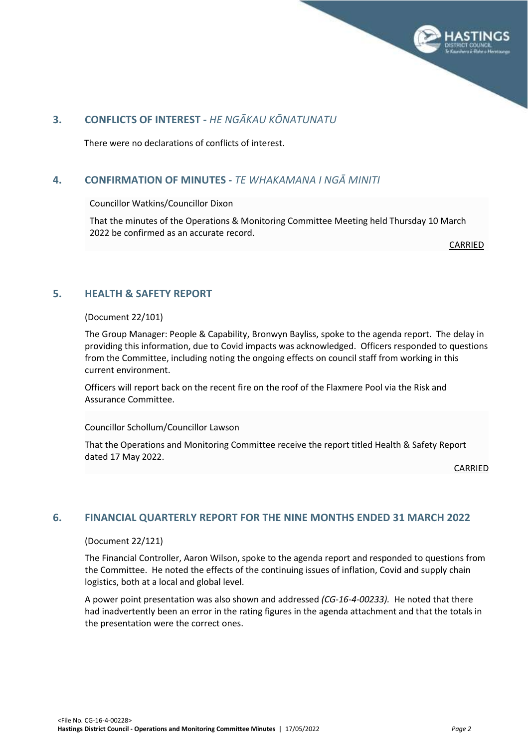

#### <span id="page-3-2"></span><span id="page-3-0"></span>**3. CONFLICTS OF INTEREST -** *HE NGĀKAU KŌNATUNATU*

There were no declarations of conflicts of interest.

#### <span id="page-3-1"></span>**4. CONFIRMATION OF MINUTES -** *TE WHAKAMANA I NGĀ MINITI*

Councillor Watkins/Councillor Dixon

That the minutes of the Operations & Monitoring Committee Meeting held Thursday 10 March 2022 be confirmed as an accurate record.

CARRIED

#### **5. HEALTH & SAFETY REPORT**

(Document 22/101)

The Group Manager: People & Capability, Bronwyn Bayliss, spoke to the agenda report. The delay in providing this information, due to Covid impacts was acknowledged. Officers responded to questions from the Committee, including noting the ongoing effects on council staff from working in this current environment.

Officers will report back on the recent fire on the roof of the Flaxmere Pool via the Risk and Assurance Committee.

Councillor Schollum/Councillor Lawson

That the Operations and Monitoring Committee receive the report titled Health & Safety Report dated 17 May 2022.

CARRIED

#### **6. FINANCIAL QUARTERLY REPORT FOR THE NINE MONTHS ENDED 31 MARCH 2022**

(Document 22/121)

The Financial Controller, Aaron Wilson, spoke to the agenda report and responded to questions from the Committee. He noted the effects of the continuing issues of inflation, Covid and supply chain logistics, both at a local and global level.

A power point presentation was also shown and addressed *(CG-16-4-00233).* He noted that there had inadvertently been an error in the rating figures in the agenda attachment and that the totals in the presentation were the correct ones.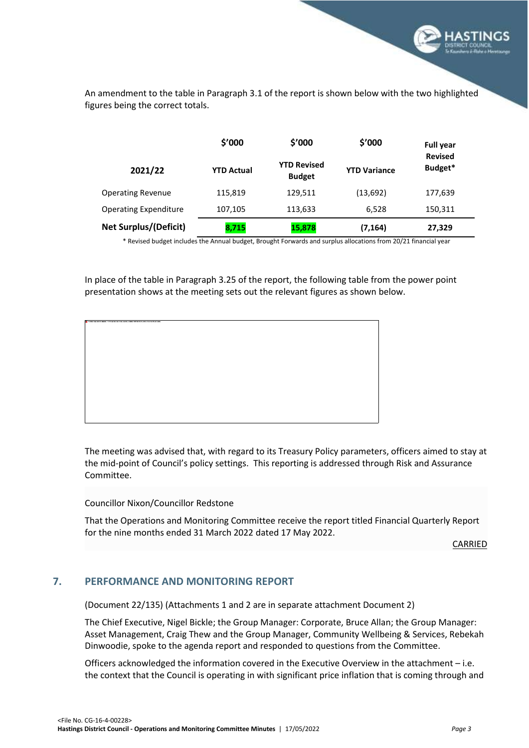

<span id="page-4-0"></span>An amendment to the table in Paragraph 3.1 of the report is shown below with the two highlighted figures being the correct totals.

|                              | \$'000            | \$'000                              | \$'000              | <b>Full year</b>          |
|------------------------------|-------------------|-------------------------------------|---------------------|---------------------------|
| 2021/22                      | <b>YTD Actual</b> | <b>YTD Revised</b><br><b>Budget</b> | <b>YTD Variance</b> | <b>Revised</b><br>Budget* |
| <b>Operating Revenue</b>     | 115,819           | 129,511                             | (13, 692)           | 177,639                   |
| <b>Operating Expenditure</b> | 107,105           | 113,633                             | 6,528               | 150,311                   |
| <b>Net Surplus/(Deficit)</b> | 8,715             | 15,878                              | (7, 164)            | 27,329                    |

\* Revised budget includes the Annual budget, Brought Forwards and surplus allocations from 20/21 financial year

In place of the table in Paragraph 3.25 of the report, the following table from the power point presentation shows at the meeting sets out the relevant figures as shown below.

| The bread image cannot be drayband. The file may have been moved, wramned, or photos). Verify that the first paints to the survey! He and doctors. |  |  |  |  |  |  |
|----------------------------------------------------------------------------------------------------------------------------------------------------|--|--|--|--|--|--|
|                                                                                                                                                    |  |  |  |  |  |  |
|                                                                                                                                                    |  |  |  |  |  |  |
|                                                                                                                                                    |  |  |  |  |  |  |
|                                                                                                                                                    |  |  |  |  |  |  |
|                                                                                                                                                    |  |  |  |  |  |  |
|                                                                                                                                                    |  |  |  |  |  |  |
|                                                                                                                                                    |  |  |  |  |  |  |
|                                                                                                                                                    |  |  |  |  |  |  |
|                                                                                                                                                    |  |  |  |  |  |  |
|                                                                                                                                                    |  |  |  |  |  |  |
|                                                                                                                                                    |  |  |  |  |  |  |
|                                                                                                                                                    |  |  |  |  |  |  |
|                                                                                                                                                    |  |  |  |  |  |  |
|                                                                                                                                                    |  |  |  |  |  |  |
|                                                                                                                                                    |  |  |  |  |  |  |
|                                                                                                                                                    |  |  |  |  |  |  |
|                                                                                                                                                    |  |  |  |  |  |  |
|                                                                                                                                                    |  |  |  |  |  |  |
|                                                                                                                                                    |  |  |  |  |  |  |
|                                                                                                                                                    |  |  |  |  |  |  |
|                                                                                                                                                    |  |  |  |  |  |  |
|                                                                                                                                                    |  |  |  |  |  |  |
|                                                                                                                                                    |  |  |  |  |  |  |
|                                                                                                                                                    |  |  |  |  |  |  |
|                                                                                                                                                    |  |  |  |  |  |  |
|                                                                                                                                                    |  |  |  |  |  |  |
|                                                                                                                                                    |  |  |  |  |  |  |
|                                                                                                                                                    |  |  |  |  |  |  |
|                                                                                                                                                    |  |  |  |  |  |  |
|                                                                                                                                                    |  |  |  |  |  |  |
|                                                                                                                                                    |  |  |  |  |  |  |
|                                                                                                                                                    |  |  |  |  |  |  |
|                                                                                                                                                    |  |  |  |  |  |  |
|                                                                                                                                                    |  |  |  |  |  |  |
|                                                                                                                                                    |  |  |  |  |  |  |
|                                                                                                                                                    |  |  |  |  |  |  |
|                                                                                                                                                    |  |  |  |  |  |  |
|                                                                                                                                                    |  |  |  |  |  |  |
|                                                                                                                                                    |  |  |  |  |  |  |
|                                                                                                                                                    |  |  |  |  |  |  |
|                                                                                                                                                    |  |  |  |  |  |  |
|                                                                                                                                                    |  |  |  |  |  |  |
|                                                                                                                                                    |  |  |  |  |  |  |
|                                                                                                                                                    |  |  |  |  |  |  |
|                                                                                                                                                    |  |  |  |  |  |  |
|                                                                                                                                                    |  |  |  |  |  |  |
|                                                                                                                                                    |  |  |  |  |  |  |

The meeting was advised that, with regard to its Treasury Policy parameters, officers aimed to stay at the mid-point of Council's policy settings. This reporting is addressed through Risk and Assurance Committee.

Councillor Nixon/Councillor Redstone

That the Operations and Monitoring Committee receive the report titled Financial Quarterly Report for the nine months ended 31 March 2022 dated 17 May 2022.

CARRIED

#### **7. PERFORMANCE AND MONITORING REPORT**

(Document 22/135) (Attachments 1 and 2 are in separate attachment Document 2)

The Chief Executive, Nigel Bickle; the Group Manager: Corporate, Bruce Allan; the Group Manager: Asset Management, Craig Thew and the Group Manager, Community Wellbeing & Services, Rebekah Dinwoodie, spoke to the agenda report and responded to questions from the Committee.

Officers acknowledged the information covered in the Executive Overview in the attachment – i.e. the context that the Council is operating in with significant price inflation that is coming through and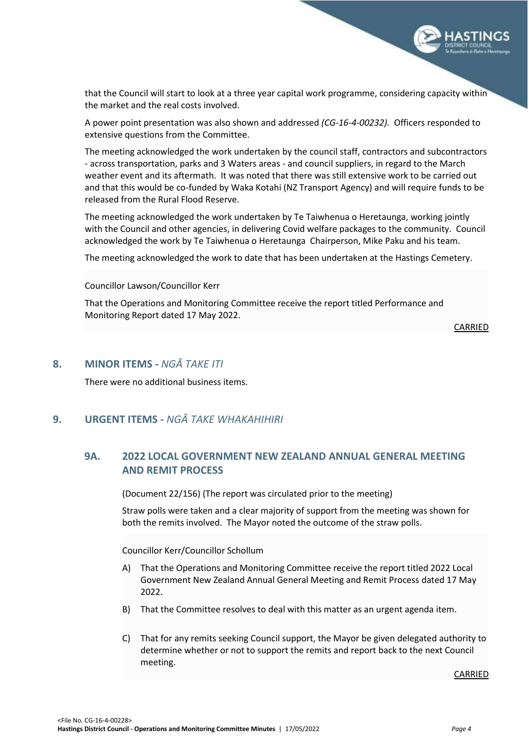

that the Council will start to look at a three year capital work programme, considering capacity within the market and the real costs involved.

A power point presentation was also shown and addressed *(CG-16-4-00232).* Officers responded to extensive questions from the Committee.

The meeting acknowledged the work undertaken by the council staff, contractors and subcontractors - across transportation, parks and 3 Waters areas - and council suppliers, in regard to the March weather event and its aftermath. It was noted that there was still extensive work to be carried out and that this would be co-funded by Waka Kotahi (NZ Transport Agency) and will require funds to be released from the Rural Flood Reserve.

The meeting acknowledged the work undertaken by Te Taiwhenua o Heretaunga, working jointly with the Council and other agencies, in delivering Covid welfare packages to the community. Council acknowledged the work by Te Taiwhenua o Heretaunga Chairperson, Mike Paku and his team.

The meeting acknowledged the work to date that has been undertaken at the Hastings Cemetery.

#### Councillor Lawson/Councillor Kerr

That the Operations and Monitoring Committee receive the report titled Performance and Monitoring Report dated 17 May 2022.

CARRIED

#### <span id="page-5-0"></span>**8. MINOR ITEMS -** *NGĀ TAKE ITI*

There were no additional business items.

#### <span id="page-5-1"></span>**9. URGENT ITEMS -** *NGĀ TAKE WHAKAHIHIRI*

#### **9A. 2022 LOCAL GOVERNMENT NEW ZEALAND ANNUAL GENERAL MEETING AND REMIT PROCESS**

(Document 22/156) (The report was circulated prior to the meeting)

Straw polls were taken and a clear majority of support from the meeting was shown for both the remits involved. The Mayor noted the outcome of the straw polls.

Councillor Kerr/Councillor Schollum

- A) That the Operations and Monitoring Committee receive the report titled 2022 Local Government New Zealand Annual General Meeting and Remit Process dated 17 May 2022.
- B) That the Committee resolves to deal with this matter as an urgent agenda item.
- C) That for any remits seeking Council support, the Mayor be given delegated authority to determine whether or not to support the remits and report back to the next Council meeting.

CARRIED